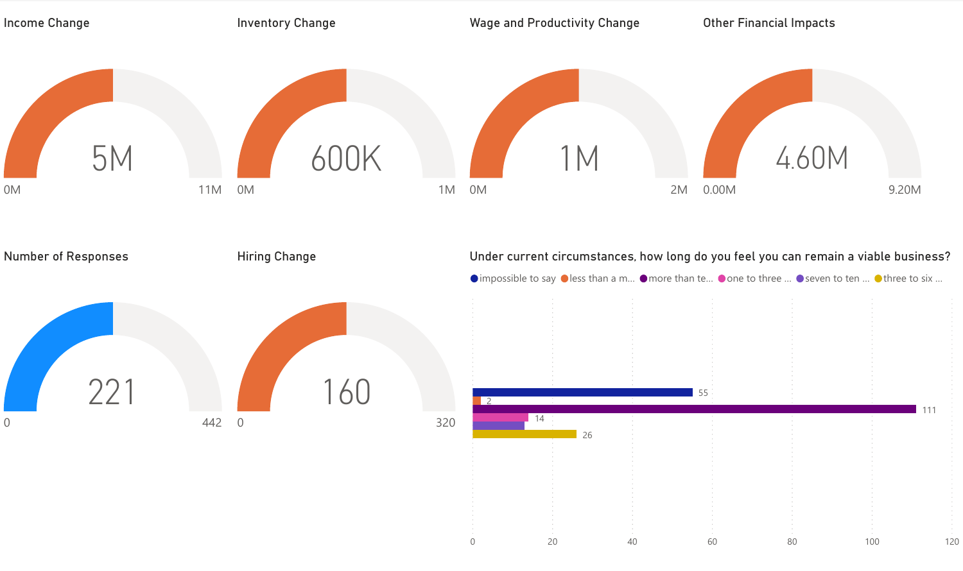